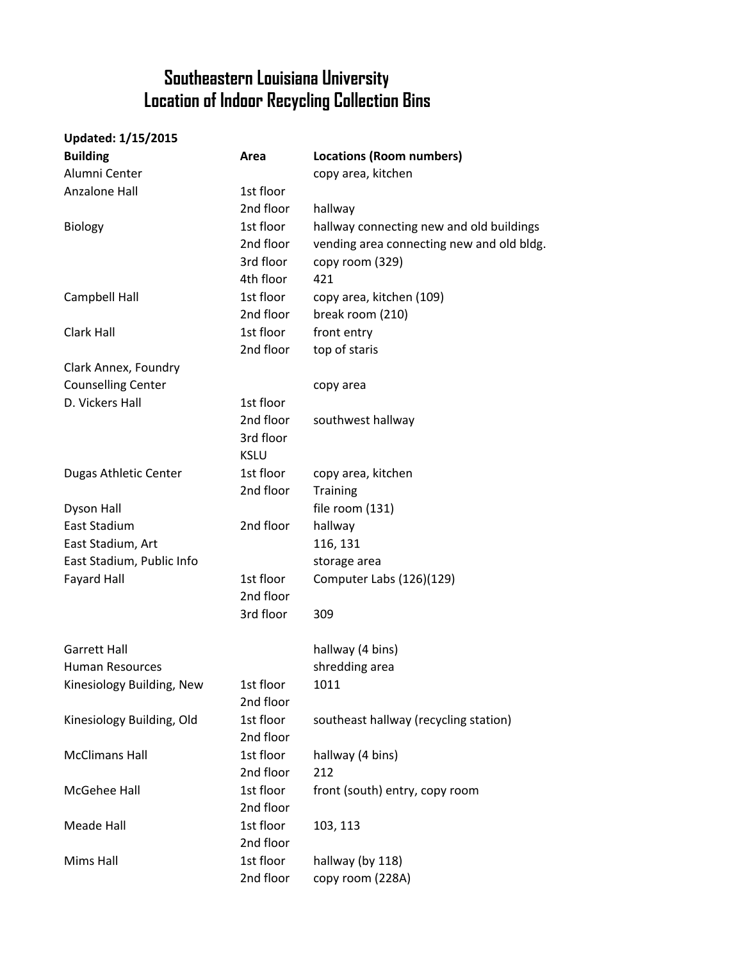## **Southeastern Louisiana University Location of Indoor Recycling Collection Bins**

| <b>Updated: 1/15/2015</b> |             |                                           |
|---------------------------|-------------|-------------------------------------------|
| <b>Building</b>           | Area        | <b>Locations (Room numbers)</b>           |
| Alumni Center             |             | copy area, kitchen                        |
| Anzalone Hall             | 1st floor   |                                           |
|                           | 2nd floor   | hallway                                   |
| <b>Biology</b>            | 1st floor   | hallway connecting new and old buildings  |
|                           | 2nd floor   | vending area connecting new and old bldg. |
|                           | 3rd floor   | copy room (329)                           |
|                           | 4th floor   | 421                                       |
| Campbell Hall             | 1st floor   | copy area, kitchen (109)                  |
|                           | 2nd floor   | break room (210)                          |
| Clark Hall                | 1st floor   | front entry                               |
|                           | 2nd floor   | top of staris                             |
| Clark Annex, Foundry      |             |                                           |
| <b>Counselling Center</b> |             | copy area                                 |
| D. Vickers Hall           | 1st floor   |                                           |
|                           | 2nd floor   | southwest hallway                         |
|                           | 3rd floor   |                                           |
|                           | <b>KSLU</b> |                                           |
| Dugas Athletic Center     | 1st floor   | copy area, kitchen                        |
|                           | 2nd floor   | <b>Training</b>                           |
| Dyson Hall                |             | file room (131)                           |
| East Stadium              | 2nd floor   | hallway                                   |
| East Stadium, Art         |             | 116, 131                                  |
| East Stadium, Public Info |             | storage area                              |
| <b>Fayard Hall</b>        | 1st floor   | Computer Labs (126)(129)                  |
|                           | 2nd floor   |                                           |
|                           | 3rd floor   | 309                                       |
| <b>Garrett Hall</b>       |             | hallway (4 bins)                          |
| <b>Human Resources</b>    |             | shredding area                            |
| Kinesiology Building, New | 1st floor   | 1011                                      |
|                           | 2nd floor   |                                           |
| Kinesiology Building, Old | 1st floor   | southeast hallway (recycling station)     |
|                           | 2nd floor   |                                           |
| <b>McClimans Hall</b>     | 1st floor   | hallway (4 bins)                          |
|                           | 2nd floor   | 212                                       |
| McGehee Hall              | 1st floor   | front (south) entry, copy room            |
|                           | 2nd floor   |                                           |
| Meade Hall                | 1st floor   | 103, 113                                  |
|                           | 2nd floor   |                                           |
| Mims Hall                 | 1st floor   | hallway (by 118)                          |
|                           | 2nd floor   | copy room (228A)                          |